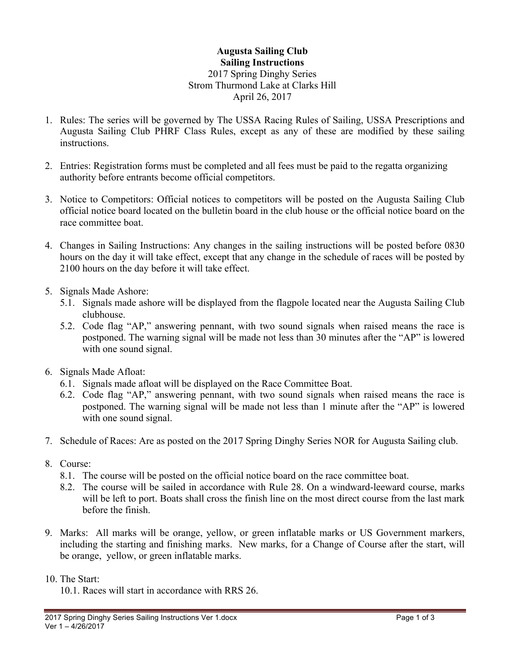## **Augusta Sailing Club Sailing Instructions** 2017 Spring Dinghy Series Strom Thurmond Lake at Clarks Hill April 26, 2017

- 1. Rules: The series will be governed by The USSA Racing Rules of Sailing, USSA Prescriptions and Augusta Sailing Club PHRF Class Rules, except as any of these are modified by these sailing instructions.
- 2. Entries: Registration forms must be completed and all fees must be paid to the regatta organizing authority before entrants become official competitors.
- 3. Notice to Competitors: Official notices to competitors will be posted on the Augusta Sailing Club official notice board located on the bulletin board in the club house or the official notice board on the race committee boat.
- 4. Changes in Sailing Instructions: Any changes in the sailing instructions will be posted before 0830 hours on the day it will take effect, except that any change in the schedule of races will be posted by 2100 hours on the day before it will take effect.
- 5. Signals Made Ashore:
	- 5.1. Signals made ashore will be displayed from the flagpole located near the Augusta Sailing Club clubhouse.
	- 5.2. Code flag "AP," answering pennant, with two sound signals when raised means the race is postponed. The warning signal will be made not less than 30 minutes after the "AP" is lowered with one sound signal.
- 6. Signals Made Afloat:
	- 6.1. Signals made afloat will be displayed on the Race Committee Boat.
	- 6.2. Code flag "AP," answering pennant, with two sound signals when raised means the race is postponed. The warning signal will be made not less than 1 minute after the "AP" is lowered with one sound signal.
- 7. Schedule of Races: Are as posted on the 2017 Spring Dinghy Series NOR for Augusta Sailing club.
- 8. Course:
	- 8.1. The course will be posted on the official notice board on the race committee boat.
	- 8.2. The course will be sailed in accordance with Rule 28. On a windward-leeward course, marks will be left to port. Boats shall cross the finish line on the most direct course from the last mark before the finish.
- 9. Marks: All marks will be orange, yellow, or green inflatable marks or US Government markers, including the starting and finishing marks. New marks, for a Change of Course after the start, will be orange, yellow, or green inflatable marks.
- 10. The Start:
	- 10.1. Races will start in accordance with RRS 26.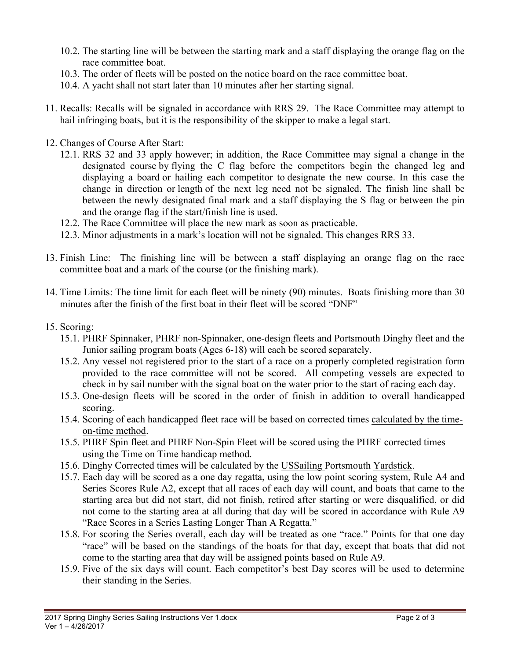- 10.2. The starting line will be between the starting mark and a staff displaying the orange flag on the race committee boat.
- 10.3. The order of fleets will be posted on the notice board on the race committee boat.
- 10.4. A yacht shall not start later than 10 minutes after her starting signal.
- 11. Recalls: Recalls will be signaled in accordance with RRS 29. The Race Committee may attempt to hail infringing boats, but it is the responsibility of the skipper to make a legal start.
- 12. Changes of Course After Start:
	- 12.1. RRS 32 and 33 apply however; in addition, the Race Committee may signal a change in the designated course by flying the C flag before the competitors begin the changed leg and displaying a board or hailing each competitor to designate the new course. In this case the change in direction or length of the next leg need not be signaled. The finish line shall be between the newly designated final mark and a staff displaying the S flag or between the pin and the orange flag if the start/finish line is used.
	- 12.2. The Race Committee will place the new mark as soon as practicable.
	- 12.3. Minor adjustments in a mark's location will not be signaled. This changes RRS 33.
- 13. Finish Line: The finishing line will be between a staff displaying an orange flag on the race committee boat and a mark of the course (or the finishing mark).
- 14. Time Limits: The time limit for each fleet will be ninety (90) minutes. Boats finishing more than 30 minutes after the finish of the first boat in their fleet will be scored "DNF"
- 15. Scoring:
	- 15.1. PHRF Spinnaker, PHRF non-Spinnaker, one-design fleets and Portsmouth Dinghy fleet and the Junior sailing program boats (Ages 6-18) will each be scored separately.
	- 15.2. Any vessel not registered prior to the start of a race on a properly completed registration form provided to the race committee will not be scored. All competing vessels are expected to check in by sail number with the signal boat on the water prior to the start of racing each day.
	- 15.3. One-design fleets will be scored in the order of finish in addition to overall handicapped scoring.
	- 15.4. Scoring of each handicapped fleet race will be based on corrected times calculated by the timeon-time method.
	- 15.5. PHRF Spin fleet and PHRF Non-Spin Fleet will be scored using the PHRF corrected times using the Time on Time handicap method.
	- 15.6. Dinghy Corrected times will be calculated by the USSailing Portsmouth Yardstick.
	- 15.7. Each day will be scored as a one day regatta, using the low point scoring system, Rule A4 and Series Scores Rule A2, except that all races of each day will count, and boats that came to the starting area but did not start, did not finish, retired after starting or were disqualified, or did not come to the starting area at all during that day will be scored in accordance with Rule A9 "Race Scores in a Series Lasting Longer Than A Regatta."
	- 15.8. For scoring the Series overall, each day will be treated as one "race." Points for that one day "race" will be based on the standings of the boats for that day, except that boats that did not come to the starting area that day will be assigned points based on Rule A9.
	- 15.9. Five of the six days will count. Each competitor's best Day scores will be used to determine their standing in the Series.